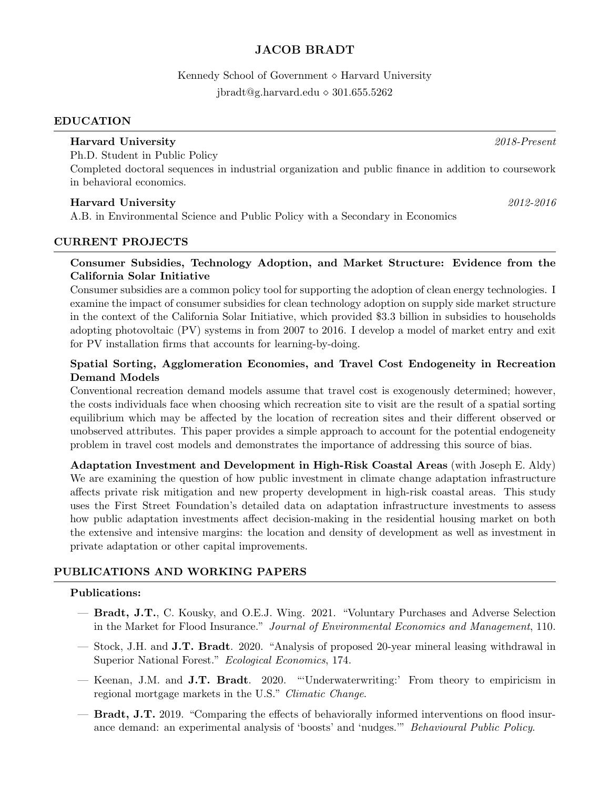# JACOB BRADT

Kennedy School of Government  $\diamond$  Harvard University  $ibradt@g.harvard.edu \diamond 301.655.5262$ 

#### EDUCATION

Ph.D. Student in Public Policy Completed doctoral sequences in industrial organization and public finance in addition to coursework in behavioral economics.

### Harvard University 2012-2016

A.B. in Environmental Science and Public Policy with a Secondary in Economics

#### CURRENT PROJECTS

### Consumer Subsidies, Technology Adoption, and Market Structure: Evidence from the California Solar Initiative

Consumer subsidies are a common policy tool for supporting the adoption of clean energy technologies. I examine the impact of consumer subsidies for clean technology adoption on supply side market structure in the context of the California Solar Initiative, which provided \$3.3 billion in subsidies to households adopting photovoltaic (PV) systems in from 2007 to 2016. I develop a model of market entry and exit for PV installation firms that accounts for learning-by-doing.

## Spatial Sorting, Agglomeration Economies, and Travel Cost Endogeneity in Recreation Demand Models

Conventional recreation demand models assume that travel cost is exogenously determined; however, the costs individuals face when choosing which recreation site to visit are the result of a spatial sorting equilibrium which may be affected by the location of recreation sites and their different observed or unobserved attributes. This paper provides a simple approach to account for the potential endogeneity problem in travel cost models and demonstrates the importance of addressing this source of bias.

Adaptation Investment and Development in High-Risk Coastal Areas (with Joseph E. Aldy) We are examining the question of how public investment in climate change adaptation infrastructure affects private risk mitigation and new property development in high-risk coastal areas. This study uses the First Street Foundation's detailed data on adaptation infrastructure investments to assess how public adaptation investments affect decision-making in the residential housing market on both the extensive and intensive margins: the location and density of development as well as investment in private adaptation or other capital improvements.

### PUBLICATIONS AND WORKING PAPERS

#### Publications:

- Bradt, J.T., C. Kousky, and O.E.J. Wing. 2021. "Voluntary Purchases and Adverse Selection in the Market for Flood Insurance." Journal of Environmental Economics and Management, 110.
- Stock, J.H. and J.T. Bradt. 2020. "Analysis of proposed 20-year mineral leasing withdrawal in Superior National Forest." Ecological Economics, 174.
- Keenan, J.M. and J.T. Bradt. 2020. "'Underwaterwriting:' From theory to empiricism in regional mortgage markets in the U.S." Climatic Change.
- Bradt, J.T. 2019. "Comparing the effects of behaviorally informed interventions on flood insurance demand: an experimental analysis of 'boosts' and 'nudges.'" Behavioural Public Policy.

Harvard University 2018-Present